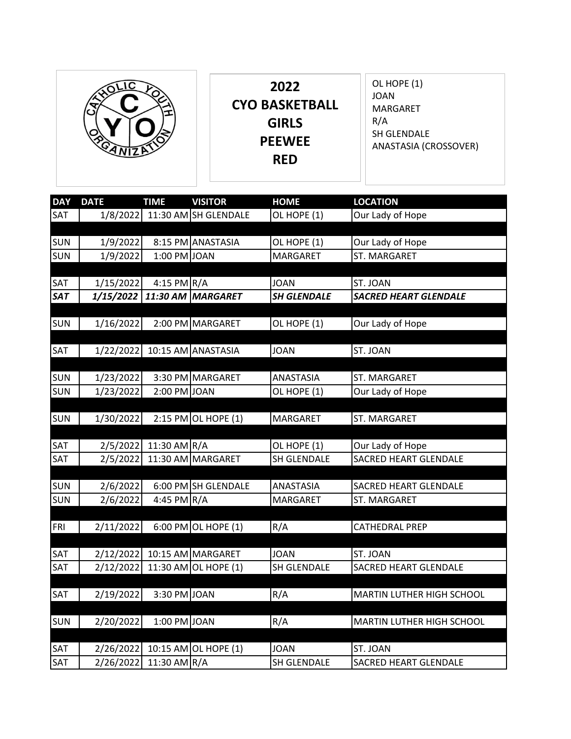|  | 2022<br><b>CYO BASKETBALL</b><br><b>GIRLS</b><br><b>PEEWEE</b><br><b>RED</b> | OL HOPE (1)<br><b>JOAN</b><br>MARGARET<br>R/A<br>SH GLENDALE<br>ANASTASIA (CROSSOVER) |
|--|------------------------------------------------------------------------------|---------------------------------------------------------------------------------------|
|--|------------------------------------------------------------------------------|---------------------------------------------------------------------------------------|

| <b>DAY</b> | <b>DATE</b> | <b>TIME</b>   | <b>VISITOR</b>        | <b>HOME</b>        | <b>LOCATION</b>              |
|------------|-------------|---------------|-----------------------|--------------------|------------------------------|
| SAT        | 1/8/2022    |               | 11:30 AM SH GLENDALE  | OL HOPE (1)        | Our Lady of Hope             |
|            |             |               |                       |                    |                              |
| <b>SUN</b> | 1/9/2022    |               | 8:15 PM ANASTASIA     | OL HOPE (1)        | Our Lady of Hope             |
| SUN        | 1/9/2022    | 1:00 PM JOAN  |                       | <b>MARGARET</b>    | <b>ST. MARGARET</b>          |
|            |             |               |                       |                    |                              |
| SAT        | 1/15/2022   | 4:15 PM $R/A$ |                       | <b>JOAN</b>        | ST. JOAN                     |
| SAT        | 1/15/2022   |               | 11:30 AM MARGARET     | <b>SH GLENDALE</b> | <b>SACRED HEART GLENDALE</b> |
|            |             |               |                       |                    |                              |
| <b>SUN</b> | 1/16/2022   |               | 2:00 PM MARGARET      | OL HOPE (1)        | Our Lady of Hope             |
|            |             |               |                       |                    |                              |
| <b>SAT</b> | 1/22/2022   |               | 10:15 AM ANASTASIA    | <b>JOAN</b>        | ST. JOAN                     |
|            |             |               |                       |                    |                              |
| <b>SUN</b> | 1/23/2022   |               | 3:30 PM MARGARET      | ANASTASIA          | ST. MARGARET                 |
| <b>SUN</b> | 1/23/2022   | 2:00 PM JOAN  |                       | OL HOPE (1)        | Our Lady of Hope             |
|            |             |               |                       |                    |                              |
| <b>SUN</b> | 1/30/2022   |               | 2:15 PM OL HOPE $(1)$ | <b>MARGARET</b>    | ST. MARGARET                 |
|            |             |               |                       |                    |                              |
| SAT        | 2/5/2022    | 11:30 AM R/A  |                       | OL HOPE (1)        | Our Lady of Hope             |
| SAT        | 2/5/2022    |               | 11:30 AM MARGARET     | SH GLENDALE        | SACRED HEART GLENDALE        |
|            |             |               | 6:00 PM SH GLENDALE   |                    |                              |
| SUN        | 2/6/2022    |               |                       | ANASTASIA          | SACRED HEART GLENDALE        |
| <b>SUN</b> | 2/6/2022    | 4:45 PM R/A   |                       | MARGARET           | ST. MARGARET                 |
|            |             |               | 6:00 PM OL HOPE $(1)$ | R/A                | CATHEDRAL PREP               |
| <b>FRI</b> | 2/11/2022   |               |                       |                    |                              |
| SAT        | 2/12/2022   |               | 10:15 AM MARGARET     | <b>JOAN</b>        | ST. JOAN                     |
| SAT        | 2/12/2022   |               | 11:30 AM OL HOPE (1)  | SH GLENDALE        | <b>SACRED HEART GLENDALE</b> |
|            |             |               |                       |                    |                              |
| SAT        | 2/19/2022   | 3:30 PM JOAN  |                       | R/A                | MARTIN LUTHER HIGH SCHOOL    |
|            |             |               |                       |                    |                              |
| <b>SUN</b> | 2/20/2022   | 1:00 PM JOAN  |                       | R/A                | MARTIN LUTHER HIGH SCHOOL    |
|            |             |               |                       |                    |                              |
| SAT        | 2/26/2022   | 10:15 AM      | OL HOPE (1)           | <b>JOAN</b>        | ST. JOAN                     |
| SAT        | 2/26/2022   | 11:30 AM R/A  |                       | <b>SH GLENDALE</b> | <b>SACRED HEART GLENDALE</b> |